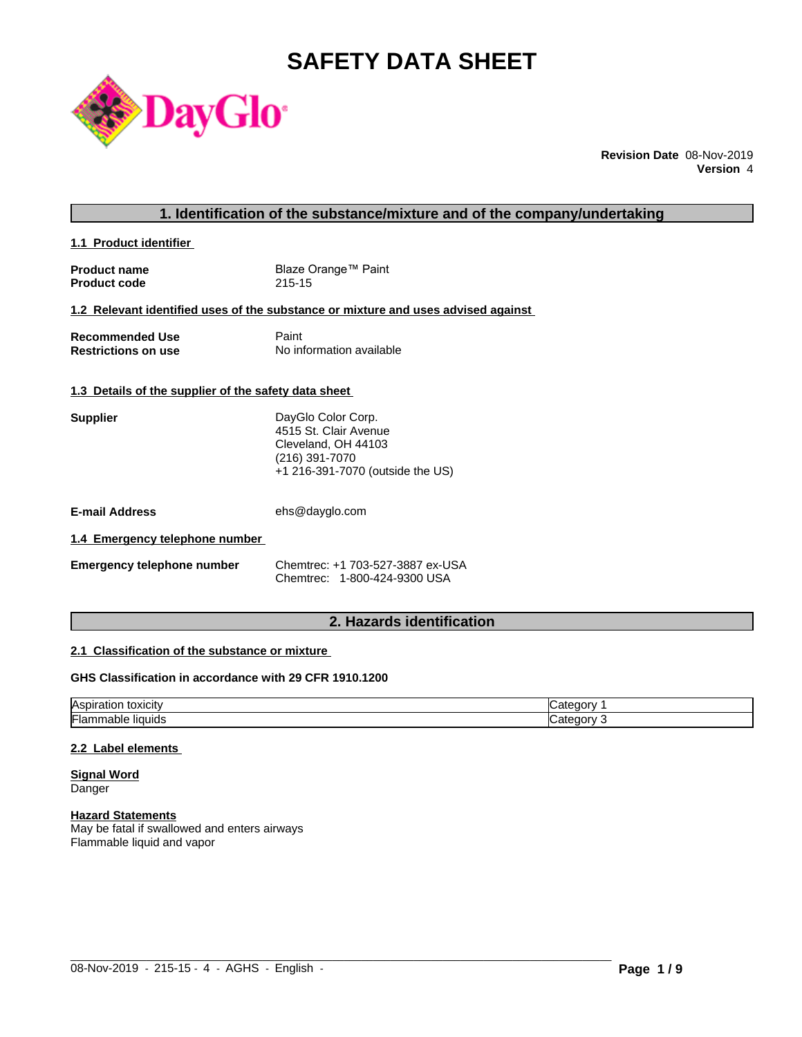# **SAFETY DATA SHEET**



**Revision Date** 08-Nov-2019 **Version** 4

#### **1. Identification of the substance/mixture and of the company/undertaking**

**1.1 Product identifier** 

| <b>Product name</b> | Blaze Orange™ Paint |
|---------------------|---------------------|
| <b>Product code</b> | 215-15              |

#### **1.2 Relevant identified uses of the substance or mixture and uses advised against**

| <b>Recommended Use</b>     | Paint                    |
|----------------------------|--------------------------|
| <b>Restrictions on use</b> | No information available |

#### **1.3 Details of the supplier of the safety data sheet**

| Supplier                       | DayGlo Color Corp.<br>4515 St. Clair Avenue<br>Cleveland, OH 44103<br>(216) 391-7070<br>+1 216-391-7070 (outside the US) |
|--------------------------------|--------------------------------------------------------------------------------------------------------------------------|
| E-mail Address                 | ehs@dayglo.com                                                                                                           |
| 1.4 Emergency telephone number |                                                                                                                          |
| Emergency telenhone numher     | Chemtrec: +1 703-527-3887 ex-USA                                                                                         |

| <b>Emergency telephone number</b> | Chemtrec: +1 703-527-3887 ex-USA |
|-----------------------------------|----------------------------------|
|                                   | Chemtrec: 1-800-424-9300 USA     |

#### **2. Hazards identification**

#### **2.1 Classification of the substance or mixture**

#### **GHS Classification in accordance with 29 CFR 1910.1200**

| <b>Aspiration</b><br>toxicity | и<br>דר<br>$\overline{1}$ |
|-------------------------------|---------------------------|
| ı-,                           | ----                      |
| '⊢lammable .                  | יי                        |
| ≅liauids                      | . .                       |

 $\_$  ,  $\_$  ,  $\_$  ,  $\_$  ,  $\_$  ,  $\_$  ,  $\_$  ,  $\_$  ,  $\_$  ,  $\_$  ,  $\_$  ,  $\_$  ,  $\_$  ,  $\_$  ,  $\_$  ,  $\_$  ,  $\_$  ,  $\_$  ,  $\_$  ,  $\_$  ,  $\_$  ,  $\_$  ,  $\_$  ,  $\_$  ,  $\_$  ,  $\_$  ,  $\_$  ,  $\_$  ,  $\_$  ,  $\_$  ,  $\_$  ,  $\_$  ,  $\_$  ,  $\_$  ,  $\_$  ,  $\_$  ,  $\_$  ,

#### **2.2 Label elements**

**Signal Word** Danger

#### **Hazard Statements**

May be fatal if swallowed and enters airways Flammable liquid and vapor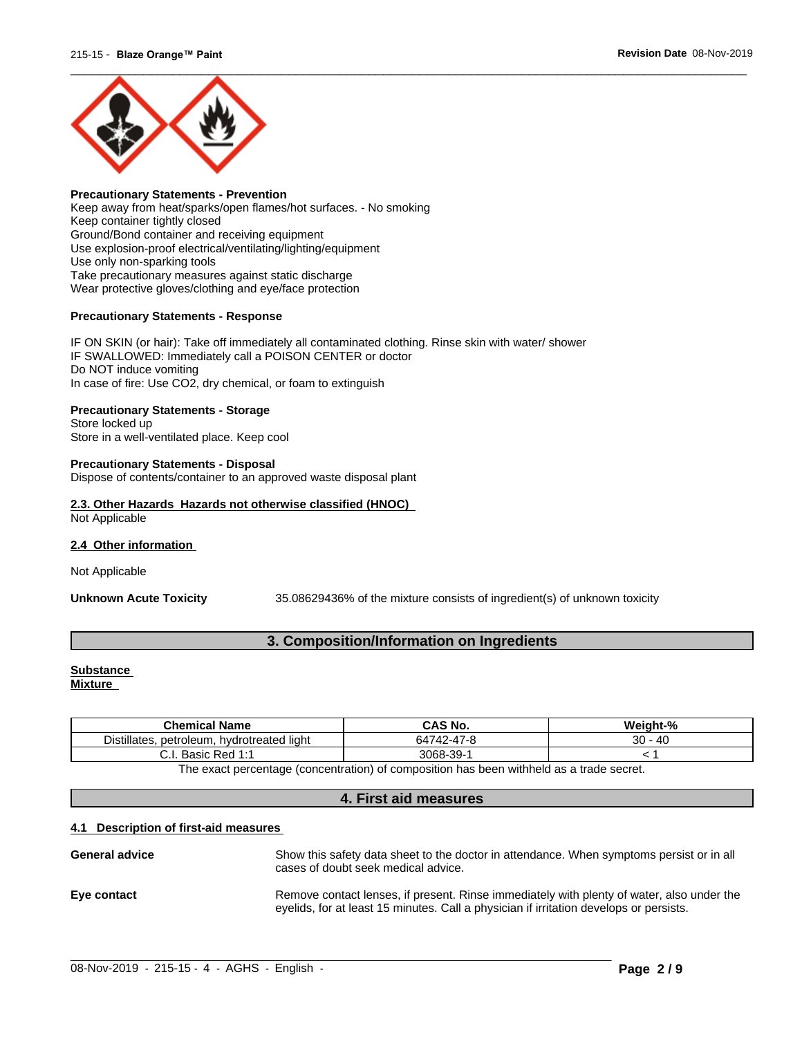

#### **Precautionary Statements - Prevention** Keep away from heat/sparks/open flames/hot surfaces. - No smoking Keep container tightly closed Ground/Bond container and receiving equipment Use explosion-proof electrical/ventilating/lighting/equipment Use only non-sparking tools Take precautionary measures against static discharge Wear protective gloves/clothing and eye/face protection

#### **Precautionary Statements - Response**

IF ON SKIN (or hair): Take off immediately all contaminated clothing. Rinse skin with water/ shower IF SWALLOWED: Immediately call a POISON CENTER or doctor Do NOT induce vomiting In case of fire: Use CO2, dry chemical, or foam to extinguish

#### **Precautionary Statements - Storage**

Store locked up Store in a well-ventilated place. Keep cool

#### **Precautionary Statements - Disposal**

Dispose of contents/container to an approved waste disposal plant

#### **2.3. Other Hazards Hazards not otherwise classified (HNOC)** Not Applicable

#### **2.4 Other information**

Not Applicable

**Unknown Acute Toxicity** 35.08629436% of the mixtureconsists of ingredient(s) of unknown toxicity

#### **3. Composition/Information on Ingredients**

## **Substance**

**Mixture**

| .<br>40<br>.<br>$\rightarrow$<br>20<br>$\sim$<br>$\sim$<br>647<br>d liaht.<br>. hvdrotreated<br>petroleum.<br>Distillates.<br>742-47-≀<br>◡◡<br>$39-$<br>3068-<br>. Basic Red<br>$\sim$<br>4.4<br>ن.<br>"ບອ<br>. | .<br><b>Chemical</b><br>l Name | <b>CAS No.</b> | Mojaht-% |
|------------------------------------------------------------------------------------------------------------------------------------------------------------------------------------------------------------------|--------------------------------|----------------|----------|
|                                                                                                                                                                                                                  |                                |                |          |
|                                                                                                                                                                                                                  |                                |                |          |

The exact percentage (concentration) of composition has been withheld as a trade secret.

#### **4. First aid measures**

#### **4.1 Description of first-aid measures**

| <b>General advice</b> | Show this safety data sheet to the doctor in attendance. When symptoms persist or in all<br>cases of doubt seek medical advice.                                                     |
|-----------------------|-------------------------------------------------------------------------------------------------------------------------------------------------------------------------------------|
| Eye contact           | Remove contact lenses, if present. Rinse immediately with plenty of water, also under the<br>eyelids, for at least 15 minutes. Call a physician if irritation develops or persists. |

 $\_$  ,  $\_$  ,  $\_$  ,  $\_$  ,  $\_$  ,  $\_$  ,  $\_$  ,  $\_$  ,  $\_$  ,  $\_$  ,  $\_$  ,  $\_$  ,  $\_$  ,  $\_$  ,  $\_$  ,  $\_$  ,  $\_$  ,  $\_$  ,  $\_$  ,  $\_$  ,  $\_$  ,  $\_$  ,  $\_$  ,  $\_$  ,  $\_$  ,  $\_$  ,  $\_$  ,  $\_$  ,  $\_$  ,  $\_$  ,  $\_$  ,  $\_$  ,  $\_$  ,  $\_$  ,  $\_$  ,  $\_$  ,  $\_$  ,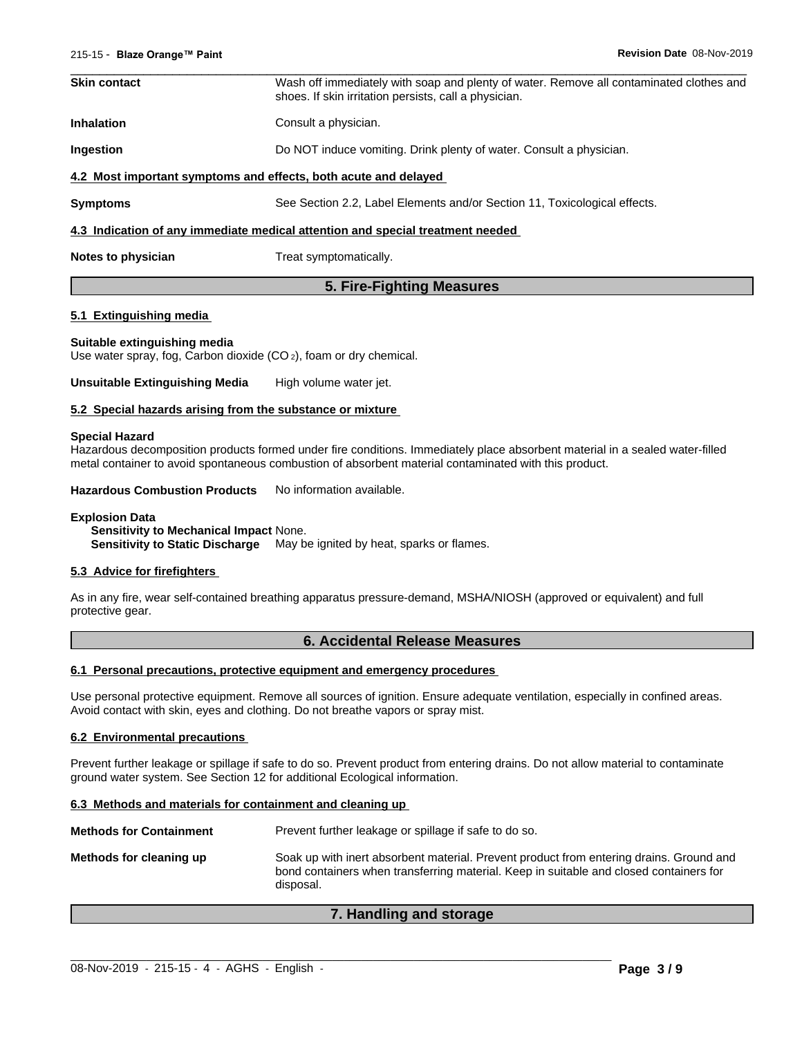| <b>Skin contact</b> | Wash off immediately with soap and plenty of water. Remove all contaminated clothes and<br>shoes. If skin irritation persists, call a physician. |
|---------------------|--------------------------------------------------------------------------------------------------------------------------------------------------|
| <b>Inhalation</b>   | Consult a physician.                                                                                                                             |
| <b>Ingestion</b>    | Do NOT induce vomiting. Drink plenty of water. Consult a physician.                                                                              |
|                     | 4.2 Most important symptoms and effects, both acute and delayed                                                                                  |
| <b>Symptoms</b>     | See Section 2.2, Label Elements and/or Section 11, Toxicological effects.                                                                        |
|                     | 4.3 Indication of any immediate medical attention and special treatment needed                                                                   |
| Notes to physician  | Treat symptomatically.                                                                                                                           |
|                     |                                                                                                                                                  |

#### **5. Fire-Fighting Measures**

#### **5.1 Extinguishing media**

#### **Suitable extinguishing media**

Use water spray, fog, Carbon dioxide (CO 2), foam or dry chemical.

**Unsuitable Extinguishing Media** High volume water jet.

#### **5.2 Special hazards arising from the substance or mixture**

#### **Special Hazard**

Hazardous decomposition products formed under fire conditions. Immediately place absorbent material in a sealed water-filled metal container to avoid spontaneous combustion of absorbent material contaminated with this product.

**Hazardous Combustion Products** No information available.

#### **Explosion Data**

**Sensitivity to Mechanical Impact** None. **Sensitivity to Static Discharge** May be ignited by heat, sparks or flames.

#### **5.3 Advice for firefighters**

As in any fire, wear self-contained breathing apparatus pressure-demand, MSHA/NIOSH (approved or equivalent) and full protective gear.

#### **6. Accidental Release Measures**

#### **6.1 Personal precautions, protective equipment and emergency procedures**

Use personal protective equipment. Remove all sources of ignition. Ensure adequate ventilation, especially in confined areas. Avoid contact with skin, eyes and clothing. Do not breathe vapors or spray mist.

#### **6.2 Environmental precautions**

Prevent further leakage or spillage if safe to do so. Prevent product from entering drains. Do not allow material to contaminate ground water system. See Section 12 for additional Ecological information.

#### **6.3 Methods and materials for containment and cleaning up**

**Methods for Containment** Prevent further leakage or spillage if safe to do so.

**Methods for cleaning up** Soak up with inert absorbent material. Prevent product from entering drains. Ground and bond containers when transferring material. Keep in suitable and closed containers for disposal.

#### **7. Handling and storage**

 $\_$  ,  $\_$  ,  $\_$  ,  $\_$  ,  $\_$  ,  $\_$  ,  $\_$  ,  $\_$  ,  $\_$  ,  $\_$  ,  $\_$  ,  $\_$  ,  $\_$  ,  $\_$  ,  $\_$  ,  $\_$  ,  $\_$  ,  $\_$  ,  $\_$  ,  $\_$  ,  $\_$  ,  $\_$  ,  $\_$  ,  $\_$  ,  $\_$  ,  $\_$  ,  $\_$  ,  $\_$  ,  $\_$  ,  $\_$  ,  $\_$  ,  $\_$  ,  $\_$  ,  $\_$  ,  $\_$  ,  $\_$  ,  $\_$  ,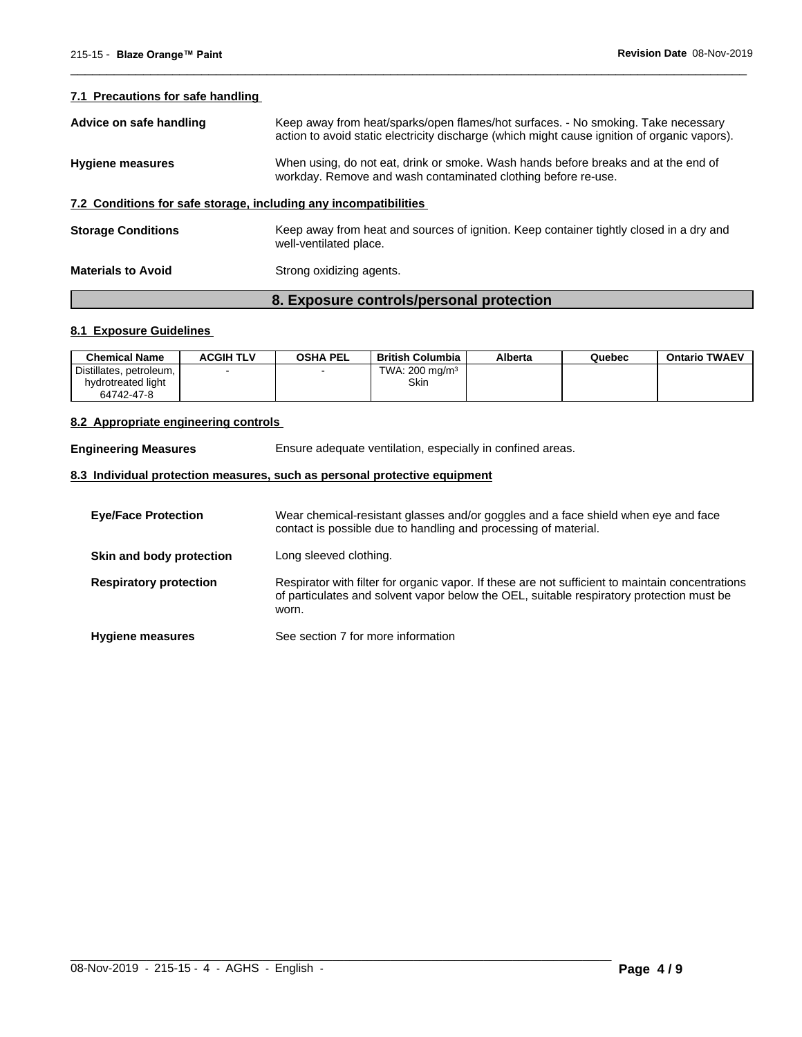#### **7.1 Precautions for safe handling**

|                           | 8. Exposure controls/personal protection                                                                                                                                          |
|---------------------------|-----------------------------------------------------------------------------------------------------------------------------------------------------------------------------------|
| <b>Materials to Avoid</b> | Strong oxidizing agents.                                                                                                                                                          |
| <b>Storage Conditions</b> | Keep away from heat and sources of ignition. Keep container tightly closed in a dry and<br>well-ventilated place.                                                                 |
|                           | 7.2 Conditions for safe storage, including any incompatibilities                                                                                                                  |
| <b>Hygiene measures</b>   | When using, do not eat, drink or smoke. Wash hands before breaks and at the end of<br>workday. Remove and wash contaminated clothing before re-use.                               |
| Advice on safe handling   | Keep away from heat/sparks/open flames/hot surfaces. - No smoking. Take necessary<br>action to avoid static electricity discharge (which might cause ignition of organic vapors). |

 $\overline{\phantom{a}}$  ,  $\overline{\phantom{a}}$  ,  $\overline{\phantom{a}}$  ,  $\overline{\phantom{a}}$  ,  $\overline{\phantom{a}}$  ,  $\overline{\phantom{a}}$  ,  $\overline{\phantom{a}}$  ,  $\overline{\phantom{a}}$  ,  $\overline{\phantom{a}}$  ,  $\overline{\phantom{a}}$  ,  $\overline{\phantom{a}}$  ,  $\overline{\phantom{a}}$  ,  $\overline{\phantom{a}}$  ,  $\overline{\phantom{a}}$  ,  $\overline{\phantom{a}}$  ,  $\overline{\phantom{a}}$ 

#### **8.1 Exposure Guidelines**

| <b>Chemical Name</b>    | <b>ACGIH TLV</b> | <b>OSHA PEL</b> | British Columbia  | Alberta | Quebec | <b>Ontario TWAEV</b> |
|-------------------------|------------------|-----------------|-------------------|---------|--------|----------------------|
| Distillates, petroleum, |                  |                 | TWA: 200 mg/m $3$ |         |        |                      |
| hydrotreated light      |                  |                 | Skin              |         |        |                      |
| 64742-47-8              |                  |                 |                   |         |        |                      |

#### **8.2 Appropriate engineering controls**

**Engineering Measures** Ensure adequate ventilation, especially in confined areas.

### **8.3 Individual protection measures, such as personal protective equipment**

| <b>Eye/Face Protection</b>    | Wear chemical-resistant glasses and/or goggles and a face shield when eye and face<br>contact is possible due to handling and processing of material.                                                 |
|-------------------------------|-------------------------------------------------------------------------------------------------------------------------------------------------------------------------------------------------------|
| Skin and body protection      | Long sleeved clothing.                                                                                                                                                                                |
| <b>Respiratory protection</b> | Respirator with filter for organic vapor. If these are not sufficient to maintain concentrations<br>of particulates and solvent vapor below the OEL, suitable respiratory protection must be<br>worn. |
| <b>Hygiene measures</b>       | See section 7 for more information                                                                                                                                                                    |

 $\_$  ,  $\_$  ,  $\_$  ,  $\_$  ,  $\_$  ,  $\_$  ,  $\_$  ,  $\_$  ,  $\_$  ,  $\_$  ,  $\_$  ,  $\_$  ,  $\_$  ,  $\_$  ,  $\_$  ,  $\_$  ,  $\_$  ,  $\_$  ,  $\_$  ,  $\_$  ,  $\_$  ,  $\_$  ,  $\_$  ,  $\_$  ,  $\_$  ,  $\_$  ,  $\_$  ,  $\_$  ,  $\_$  ,  $\_$  ,  $\_$  ,  $\_$  ,  $\_$  ,  $\_$  ,  $\_$  ,  $\_$  ,  $\_$  ,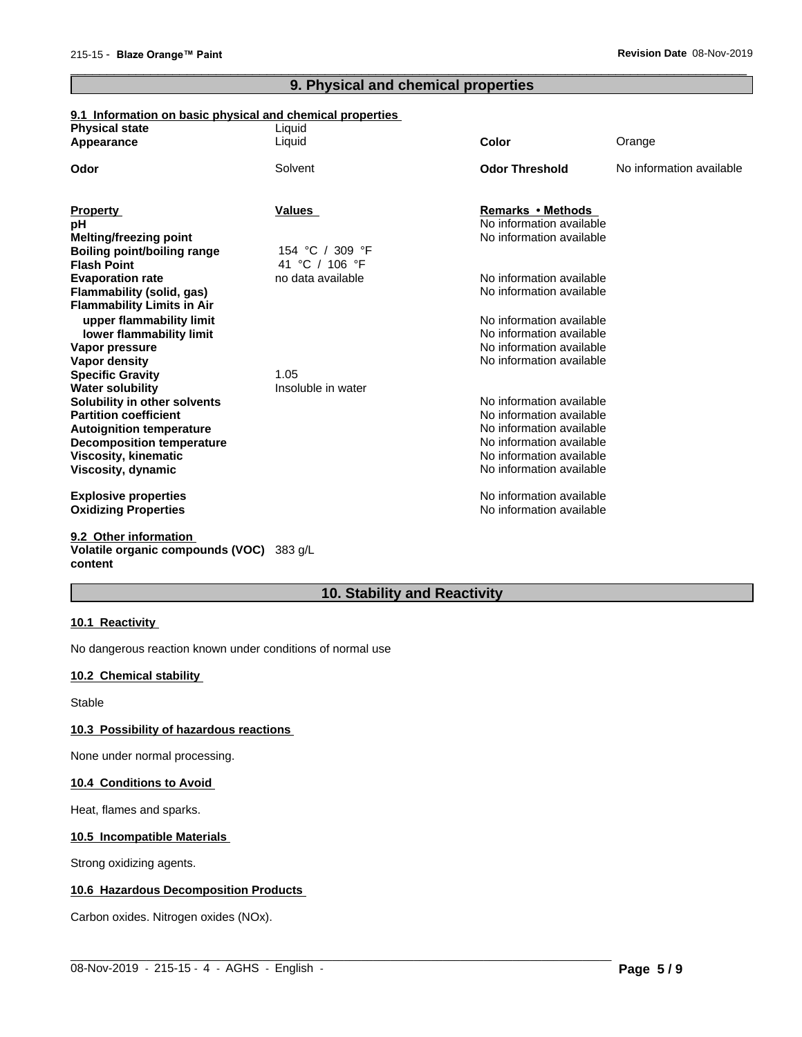## **9. Physical and chemical properties**

 $\overline{\phantom{a}}$  ,  $\overline{\phantom{a}}$  ,  $\overline{\phantom{a}}$  ,  $\overline{\phantom{a}}$  ,  $\overline{\phantom{a}}$  ,  $\overline{\phantom{a}}$  ,  $\overline{\phantom{a}}$  ,  $\overline{\phantom{a}}$  ,  $\overline{\phantom{a}}$  ,  $\overline{\phantom{a}}$  ,  $\overline{\phantom{a}}$  ,  $\overline{\phantom{a}}$  ,  $\overline{\phantom{a}}$  ,  $\overline{\phantom{a}}$  ,  $\overline{\phantom{a}}$  ,  $\overline{\phantom{a}}$ 

#### **9.1 Information on basic physical and chemical properties**

| <b>Physical state</b>              | Liquid             |                                                      |                          |
|------------------------------------|--------------------|------------------------------------------------------|--------------------------|
| Appearance                         | Liquid             | <b>Color</b>                                         | Orange                   |
| Odor                               | Solvent            | <b>Odor Threshold</b>                                | No information available |
| <b>Property</b>                    | <b>Values</b>      | Remarks • Methods                                    |                          |
| рH                                 |                    | No information available                             |                          |
| Melting/freezing point             |                    | No information available                             |                          |
| <b>Boiling point/boiling range</b> | 154 °C / 309 °F    |                                                      |                          |
| <b>Flash Point</b>                 | 41 °C / 106 °F     |                                                      |                          |
| <b>Evaporation rate</b>            | no data available  | No information available                             |                          |
| Flammability (solid, gas)          |                    | No information available                             |                          |
| <b>Flammability Limits in Air</b>  |                    |                                                      |                          |
| upper flammability limit           |                    | No information available                             |                          |
| lower flammability limit           |                    | No information available                             |                          |
| Vapor pressure                     |                    | No information available                             |                          |
| Vapor density                      |                    | No information available                             |                          |
| <b>Specific Gravity</b>            | 1.05               |                                                      |                          |
| <b>Water solubility</b>            | Insoluble in water |                                                      |                          |
| Solubility in other solvents       |                    | No information available                             |                          |
| <b>Partition coefficient</b>       |                    | No information available                             |                          |
| <b>Autoignition temperature</b>    |                    | No information available                             |                          |
| <b>Decomposition temperature</b>   |                    | No information available                             |                          |
| <b>Viscosity, kinematic</b>        |                    | No information available<br>No information available |                          |
| Viscosity, dynamic                 |                    |                                                      |                          |
| <b>Explosive properties</b>        |                    | No information available                             |                          |
| <b>Oxidizing Properties</b>        |                    | No information available                             |                          |
| 9.2 Other information              |                    |                                                      |                          |

#### **Volatile organic compounds (VOC)** 383 g/L **content**

## **10. Stability and Reactivity**

 $\_$  ,  $\_$  ,  $\_$  ,  $\_$  ,  $\_$  ,  $\_$  ,  $\_$  ,  $\_$  ,  $\_$  ,  $\_$  ,  $\_$  ,  $\_$  ,  $\_$  ,  $\_$  ,  $\_$  ,  $\_$  ,  $\_$  ,  $\_$  ,  $\_$  ,  $\_$  ,  $\_$  ,  $\_$  ,  $\_$  ,  $\_$  ,  $\_$  ,  $\_$  ,  $\_$  ,  $\_$  ,  $\_$  ,  $\_$  ,  $\_$  ,  $\_$  ,  $\_$  ,  $\_$  ,  $\_$  ,  $\_$  ,  $\_$  ,

#### **10.1 Reactivity**

No dangerous reaction known under conditions of normal use

#### **10.2 Chemical stability**

**Stable** 

#### **10.3 Possibility of hazardous reactions**

None under normal processing.

#### **10.4 Conditions to Avoid**

Heat, flames and sparks.

#### **10.5 Incompatible Materials**

Strong oxidizing agents.

#### **10.6 Hazardous Decomposition Products**

Carbon oxides. Nitrogen oxides (NOx).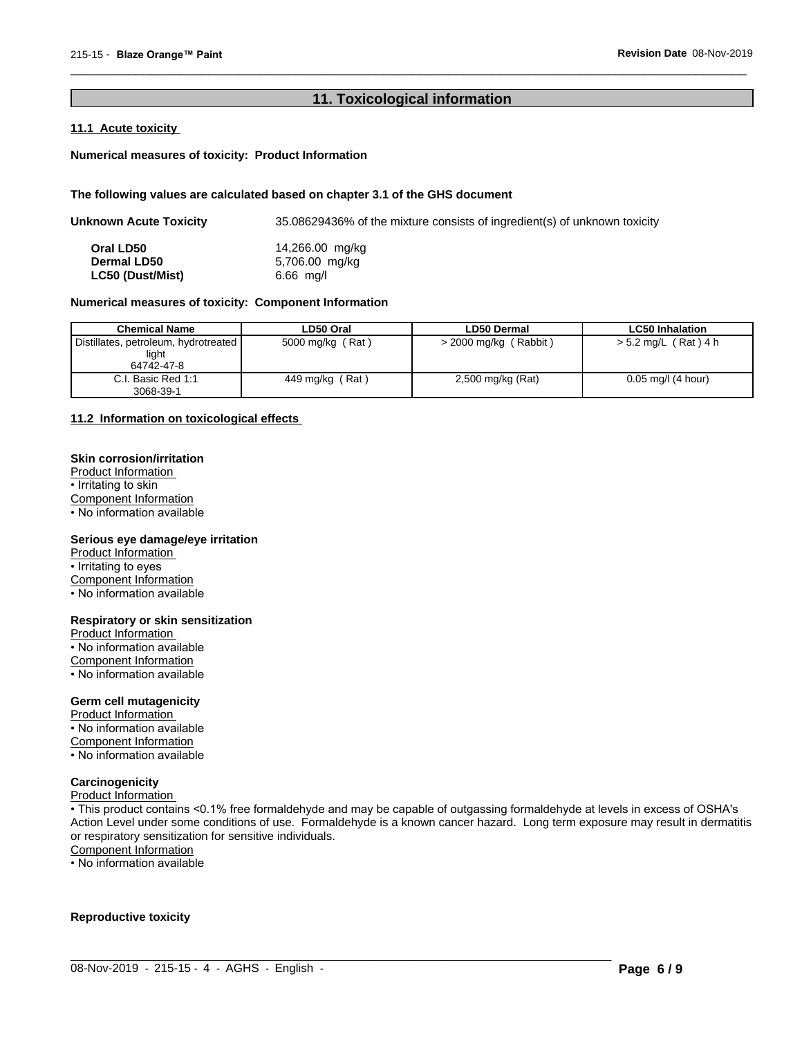#### **11. Toxicological information**

 $\overline{\phantom{a}}$  ,  $\overline{\phantom{a}}$  ,  $\overline{\phantom{a}}$  ,  $\overline{\phantom{a}}$  ,  $\overline{\phantom{a}}$  ,  $\overline{\phantom{a}}$  ,  $\overline{\phantom{a}}$  ,  $\overline{\phantom{a}}$  ,  $\overline{\phantom{a}}$  ,  $\overline{\phantom{a}}$  ,  $\overline{\phantom{a}}$  ,  $\overline{\phantom{a}}$  ,  $\overline{\phantom{a}}$  ,  $\overline{\phantom{a}}$  ,  $\overline{\phantom{a}}$  ,  $\overline{\phantom{a}}$ 

#### **11.1 Acute toxicity**

#### **Numerical measures of toxicity: Product Information**

#### **The following values are calculated based on chapter 3.1 of the GHS document**

| Unknown Acute Toxicity          | 35.08629436% of the mixture consists of ingredient(s) of unknown toxicity |
|---------------------------------|---------------------------------------------------------------------------|
| Oral LD50<br><b>Dermal LD50</b> | 14,266.00 mg/kg<br>5,706.00 mg/kg                                         |
| <b>LC50 (Dust/Mist)</b>         | $6.66$ mg/l                                                               |

#### **Numerical measures of toxicity: Component Information**

| <b>Chemical Name</b>                                          | LD50 Oral        | <b>LD50 Dermal</b>    | <b>LC50 Inhalation</b> |
|---------------------------------------------------------------|------------------|-----------------------|------------------------|
| Distillates, petroleum, hydrotreated  <br>light<br>64742-47-8 | 5000 mg/kg (Rat) | > 2000 mg/kg (Rabbit) | > 5.2 mg/L (Rat) 4 h   |
| C.I. Basic Red 1:1<br>3068-39-1                               | 449 mg/kg (Rat)  | 2,500 mg/kg (Rat)     | $0.05$ mg/l (4 hour)   |

#### **11.2 Information on toxicologicaleffects**

#### **Skin corrosion/irritation**

Product Information • Irritating to skin Component Information • No information available

#### **Serious eye damage/eye irritation**

Product Information • Irritating to eyes Component Information

• No information available

## **Respiratory or skin sensitization**

Product Information • No information available Component Information • No information available

#### **Germ cell mutagenicity**

Product Information • No information available Component Information • No information available

#### **Carcinogenicity**

Product Information

• This product contains <0.1% free formaldehyde and may be capable of outgassing formaldehyde at levels in excess of OSHA's Action Level under some conditions of use. Formaldehyde is a known cancer hazard. Long term exposure may result in dermatitis or respiratory sensitization for sensitive individuals.Component Information

 $\_$  ,  $\_$  ,  $\_$  ,  $\_$  ,  $\_$  ,  $\_$  ,  $\_$  ,  $\_$  ,  $\_$  ,  $\_$  ,  $\_$  ,  $\_$  ,  $\_$  ,  $\_$  ,  $\_$  ,  $\_$  ,  $\_$  ,  $\_$  ,  $\_$  ,  $\_$  ,  $\_$  ,  $\_$  ,  $\_$  ,  $\_$  ,  $\_$  ,  $\_$  ,  $\_$  ,  $\_$  ,  $\_$  ,  $\_$  ,  $\_$  ,  $\_$  ,  $\_$  ,  $\_$  ,  $\_$  ,  $\_$  ,  $\_$  ,

• No information available

#### **Reproductive toxicity**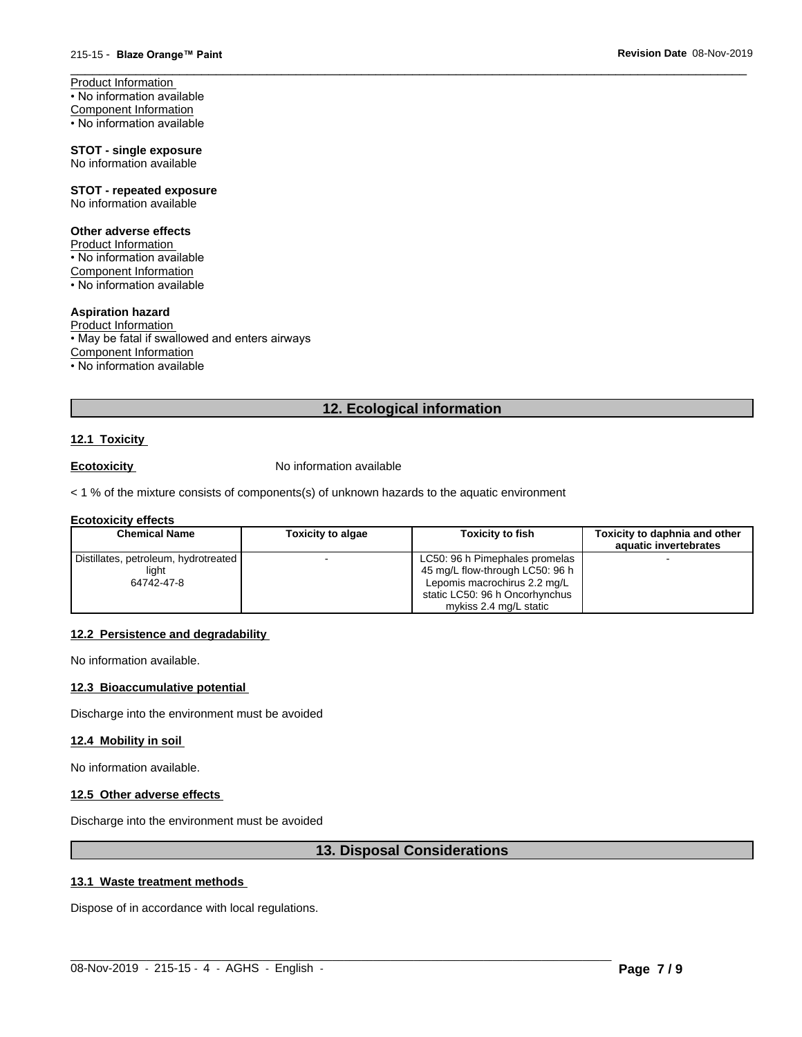Product Information • No information available Component Information • No information available

#### **STOT - single exposure** No information available

**STOT - repeated exposure** No information available

## **Other adverse effects**

Product Information • No information available Component Information  $\cdot$  No information available

### **Aspiration hazard**

Product Information • May be fatal if swallowed and enters airways Component Information • No information available

#### **12. Ecological information**

 $\overline{\phantom{a}}$  ,  $\overline{\phantom{a}}$  ,  $\overline{\phantom{a}}$  ,  $\overline{\phantom{a}}$  ,  $\overline{\phantom{a}}$  ,  $\overline{\phantom{a}}$  ,  $\overline{\phantom{a}}$  ,  $\overline{\phantom{a}}$  ,  $\overline{\phantom{a}}$  ,  $\overline{\phantom{a}}$  ,  $\overline{\phantom{a}}$  ,  $\overline{\phantom{a}}$  ,  $\overline{\phantom{a}}$  ,  $\overline{\phantom{a}}$  ,  $\overline{\phantom{a}}$  ,  $\overline{\phantom{a}}$ 

#### **12.1 Toxicity**

**Ecotoxicity No information available** 

 $<$  1 % of the mixture consists of components(s) of unknown hazards to the aquatic environment

#### **Ecotoxicity effects**

| <b>Chemical Name</b>                 | <b>Toxicity to algae</b> | <b>Toxicity to fish</b>         | Toxicity to daphnia and other |
|--------------------------------------|--------------------------|---------------------------------|-------------------------------|
|                                      |                          |                                 | aquatic invertebrates         |
| Distillates, petroleum, hydrotreated |                          | LC50: 96 h Pimephales promelas  |                               |
| light                                |                          | 45 mg/L flow-through LC50: 96 h |                               |
| 64742-47-8                           |                          | Lepomis macrochirus 2.2 mg/L    |                               |
|                                      |                          | static LC50: 96 h Oncorhynchus  |                               |
|                                      |                          | mykiss 2.4 mg/L static          |                               |

#### **12.2 Persistence and degradability**

No information available.

#### **12.3 Bioaccumulative potential**

Discharge into the environment must be avoided

#### **12.4 Mobility in soil**

No information available.

#### **12.5 Other adverse effects**

Discharge into the environment must be avoided

#### **13. Disposal Considerations**

 $\_$  ,  $\_$  ,  $\_$  ,  $\_$  ,  $\_$  ,  $\_$  ,  $\_$  ,  $\_$  ,  $\_$  ,  $\_$  ,  $\_$  ,  $\_$  ,  $\_$  ,  $\_$  ,  $\_$  ,  $\_$  ,  $\_$  ,  $\_$  ,  $\_$  ,  $\_$  ,  $\_$  ,  $\_$  ,  $\_$  ,  $\_$  ,  $\_$  ,  $\_$  ,  $\_$  ,  $\_$  ,  $\_$  ,  $\_$  ,  $\_$  ,  $\_$  ,  $\_$  ,  $\_$  ,  $\_$  ,  $\_$  ,  $\_$  ,

#### **13.1 Waste treatment methods**

Dispose of in accordance with local regulations.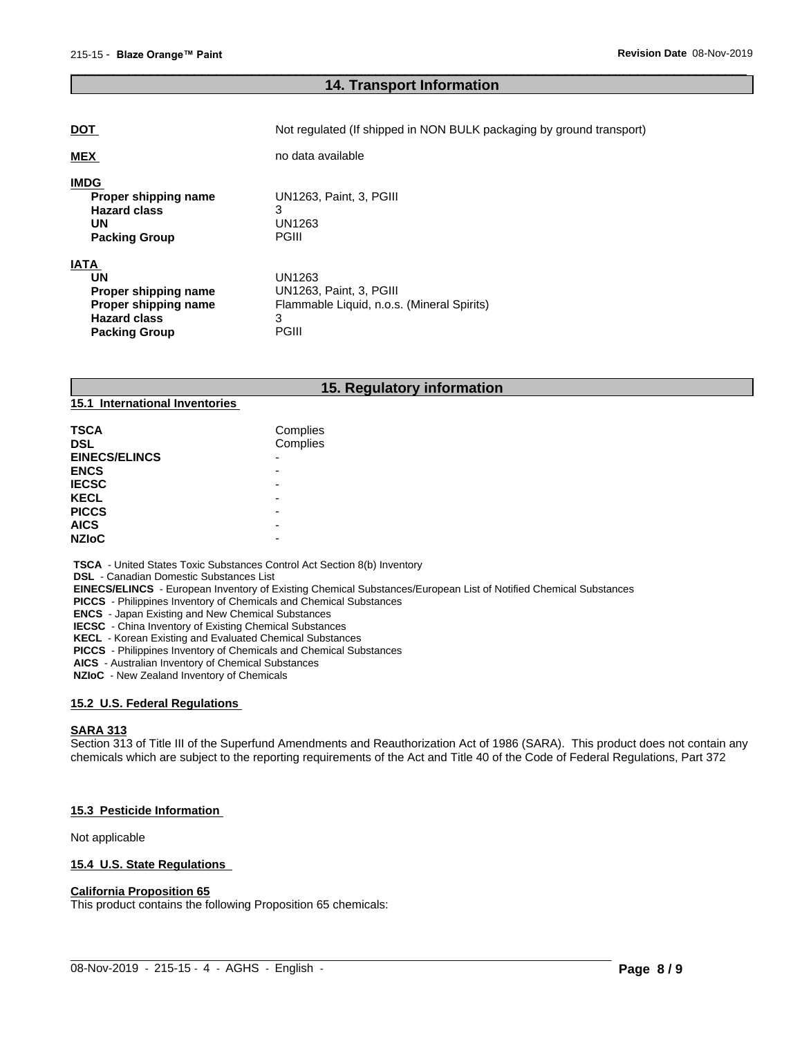### **14. Transport Information**

 $\overline{\phantom{a}}$  ,  $\overline{\phantom{a}}$  ,  $\overline{\phantom{a}}$  ,  $\overline{\phantom{a}}$  ,  $\overline{\phantom{a}}$  ,  $\overline{\phantom{a}}$  ,  $\overline{\phantom{a}}$  ,  $\overline{\phantom{a}}$  ,  $\overline{\phantom{a}}$  ,  $\overline{\phantom{a}}$  ,  $\overline{\phantom{a}}$  ,  $\overline{\phantom{a}}$  ,  $\overline{\phantom{a}}$  ,  $\overline{\phantom{a}}$  ,  $\overline{\phantom{a}}$  ,  $\overline{\phantom{a}}$ 

| <b>DOT</b>                                                                                                       | Not regulated (If shipped in NON BULK packaging by ground transport)                                 |
|------------------------------------------------------------------------------------------------------------------|------------------------------------------------------------------------------------------------------|
| <b>MEX</b>                                                                                                       | no data available                                                                                    |
| <b>IMDG</b><br>Proper shipping name<br><b>Hazard class</b><br>UN<br><b>Packing Group</b>                         | UN1263, Paint, 3, PGIII<br>3<br>UN1263<br><b>PGIII</b>                                               |
| <b>IATA</b><br>UN<br>Proper shipping name<br>Proper shipping name<br><b>Hazard class</b><br><b>Packing Group</b> | UN1263<br>UN1263, Paint, 3, PGIII<br>Flammable Liquid, n.o.s. (Mineral Spirits)<br>3<br><b>PGIII</b> |

### **15. Regulatory information**

| <b>TSCA</b>          | Complies                 |  |
|----------------------|--------------------------|--|
| <b>DSL</b>           | Complies                 |  |
| <b>EINECS/ELINCS</b> | $\overline{\phantom{0}}$ |  |
| <b>ENCS</b>          |                          |  |
| <b>IECSC</b>         |                          |  |
| <b>KECL</b>          |                          |  |
| <b>PICCS</b>         | -                        |  |
| <b>AICS</b>          | -                        |  |
| <b>NZIoC</b>         | -                        |  |

 **TSCA** - United States Toxic Substances Control Act Section 8(b) Inventory

 **DSL** - Canadian Domestic Substances List

**15.1 International Inventories**

 **EINECS/ELINCS** - European Inventory of Existing Chemical Substances/European List of Notified Chemical Substances

 **PICCS** - Philippines Inventory of Chemicals and Chemical Substances

 **ENCS** - Japan Existing and New Chemical Substances

 **IECSC** - China Inventory of Existing Chemical Substances

 **KECL** - Korean Existing and Evaluated Chemical Substances

 **PICCS** - Philippines Inventory of Chemicals and Chemical Substances

 **AICS** - Australian Inventory of Chemical Substances

 **NZIoC** - New Zealand Inventory of Chemicals

#### **15.2 U.S. Federal Regulations**

#### **SARA 313**

Section 313 of Title III of the Superfund Amendments and Reauthorization Act of 1986 (SARA). This product does not contain any chemicals which are subject to the reporting requirements of the Act and Title 40 of the Code of Federal Regulations, Part 372

 $\_$  ,  $\_$  ,  $\_$  ,  $\_$  ,  $\_$  ,  $\_$  ,  $\_$  ,  $\_$  ,  $\_$  ,  $\_$  ,  $\_$  ,  $\_$  ,  $\_$  ,  $\_$  ,  $\_$  ,  $\_$  ,  $\_$  ,  $\_$  ,  $\_$  ,  $\_$  ,  $\_$  ,  $\_$  ,  $\_$  ,  $\_$  ,  $\_$  ,  $\_$  ,  $\_$  ,  $\_$  ,  $\_$  ,  $\_$  ,  $\_$  ,  $\_$  ,  $\_$  ,  $\_$  ,  $\_$  ,  $\_$  ,  $\_$  ,

#### **15.3 Pesticide Information**

Not applicable

#### **15.4 U.S. State Regulations**

## **California Proposition 65**

This product contains the following Proposition 65 chemicals: